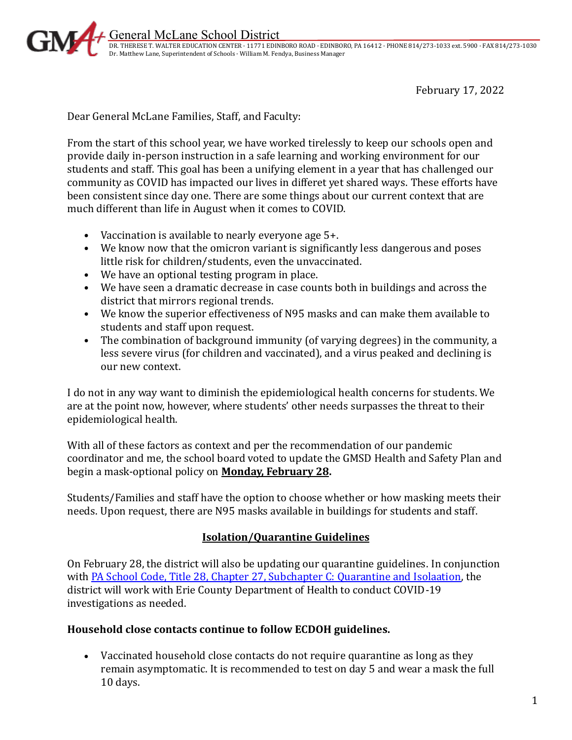

General McLane School District

 DR. THERESE T. WALTER EDUCATION CENTER · 11771 EDINBORO ROAD · EDINBORO, PA 16412 · PHONE 814/273-1033 ext. 5900 · FAX 814/273-1030 Dr. Matthew Lane, Superintendent of Schools · William M. Fendya, Business Manager

February 17, 2022

Dear General McLane Families, Staff, and Faculty:

From the start of this school year, we have worked tirelessly to keep our schools open and provide daily in-person instruction in a safe learning and working environment for our students and staff. This goal has been a unifying element in a year that has challenged our community as COVID has impacted our lives in differet yet shared ways. These efforts have been consistent since day one. There are some things about our current context that are much different than life in August when it comes to COVID.

- Vaccination is available to nearly everyone age 5+.
- We know now that the omicron variant is significantly less dangerous and poses little risk for children/students, even the unvaccinated.
- We have an optional testing program in place.
- We have seen a dramatic decrease in case counts both in buildings and across the district that mirrors regional trends.
- We know the superior effectiveness of N95 masks and can make them available to students and staff upon request.
- The combination of background immunity (of varying degrees) in the community, a less severe virus (for children and vaccinated), and a virus peaked and declining is our new context.

I do not in any way want to diminish the epidemiological health concerns for students. We are at the point now, however, where students' other needs surpasses the threat to their epidemiological health.

With all of these factors as context and per the recommendation of our pandemic coordinator and me, the school board voted to update the GMSD Health and Safety Plan and begin a mask-optional policy on **Monday, February 28.**

Students/Families and staff have the option to choose whether or how masking meets their needs. Upon request, there are N95 masks available in buildings for students and staff.

## **Isolation/Quarantine Guidelines**

On February 28, the district will also be updating our quarantine guidelines. In conjunction with [PA School Code, Title 28, Chapter 27, Subchapter C: Quarantine and Isolaation,](http://www.pacodeandbulletin.gov/Display/pacode?file=/secure/pacode/data/028/chapter27/subchapCtoc.html&d=reduce) the district will work with Erie County Department of Health to conduct COVID-19 investigations as needed.

## **Household close contacts continue to follow ECDOH guidelines.**

• Vaccinated household close contacts do not require quarantine as long as they remain asymptomatic. It is recommended to test on day 5 and wear a mask the full 10 days.